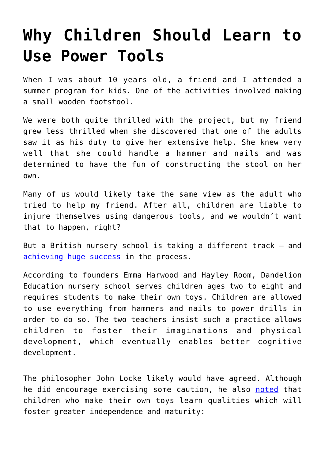## **[Why Children Should Learn to](https://intellectualtakeout.org/2017/10/why-children-should-learn-to-use-power-tools/) [Use Power Tools](https://intellectualtakeout.org/2017/10/why-children-should-learn-to-use-power-tools/)**

When I was about 10 years old, a friend and I attended a summer program for kids. One of the activities involved making a small wooden footstool.

We were both quite thrilled with the project, but my friend grew less thrilled when she discovered that one of the adults saw it as his duty to give her extensive help. She knew very well that she could handle a hammer and nails and was determined to have the fun of constructing the stool on her own.

Many of us would likely take the same view as the adult who tried to help my friend. After all, children are liable to injure themselves using dangerous tools, and we wouldn't want that to happen, right?

But a British nursery school is taking a different track – and [achieving huge success](http://www.itv.com/news/2017-10-19/nursery-where-children-only-play-with-toys-they-make-themselves-named-britains-best/) in the process.

According to founders Emma Harwood and Hayley Room, Dandelion Education nursery school serves children ages two to eight and requires students to make their own toys. Children are allowed to use everything from hammers and nails to power drills in order to do so. The two teachers insist such a practice allows children to foster their imaginations and physical development, which eventually enables better cognitive development.

The philosopher John Locke likely would have agreed. Although he did encourage exercising some caution, he also [noted](http://oll.libertyfund.org/titles/locke-the-works-vol-8-some-thoughts-concerning-education-posthumous-works-familiar-letters) that children who make their own toys learn qualities which will foster greater independence and maturity: